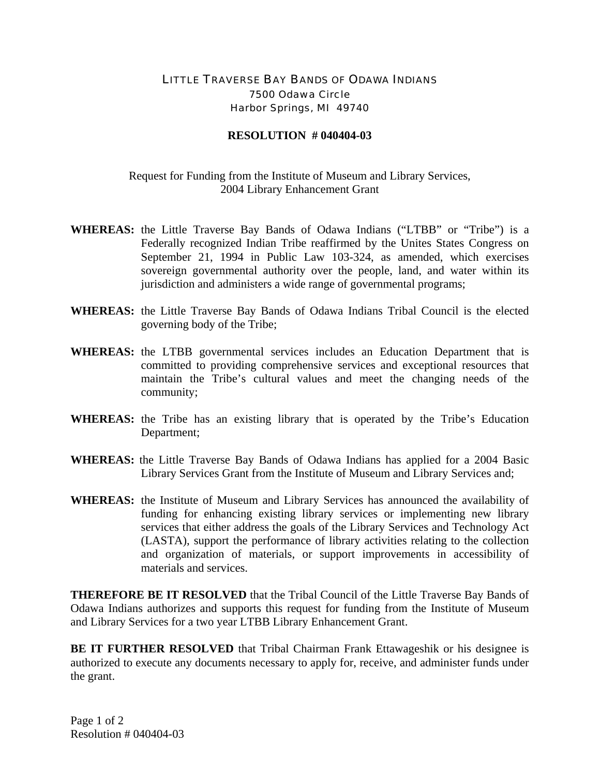## LITTLE TRAVERSE BAY BANDS OF ODAWA INDIANS 7500 Odawa Circle Harbor Springs, MI 49740

## **RESOLUTION # 040404-03**

## Request for Funding from the Institute of Museum and Library Services, 2004 Library Enhancement Grant

- **WHEREAS:** the Little Traverse Bay Bands of Odawa Indians ("LTBB" or "Tribe") is a Federally recognized Indian Tribe reaffirmed by the Unites States Congress on September 21, 1994 in Public Law 103-324, as amended, which exercises sovereign governmental authority over the people, land, and water within its jurisdiction and administers a wide range of governmental programs;
- **WHEREAS:** the Little Traverse Bay Bands of Odawa Indians Tribal Council is the elected governing body of the Tribe;
- **WHEREAS:** the LTBB governmental services includes an Education Department that is committed to providing comprehensive services and exceptional resources that maintain the Tribe's cultural values and meet the changing needs of the community;
- **WHEREAS:** the Tribe has an existing library that is operated by the Tribe's Education Department;
- **WHEREAS:** the Little Traverse Bay Bands of Odawa Indians has applied for a 2004 Basic Library Services Grant from the Institute of Museum and Library Services and;
- **WHEREAS:** the Institute of Museum and Library Services has announced the availability of funding for enhancing existing library services or implementing new library services that either address the goals of the Library Services and Technology Act (LASTA), support the performance of library activities relating to the collection and organization of materials, or support improvements in accessibility of materials and services.

**THEREFORE BE IT RESOLVED** that the Tribal Council of the Little Traverse Bay Bands of Odawa Indians authorizes and supports this request for funding from the Institute of Museum and Library Services for a two year LTBB Library Enhancement Grant.

**BE IT FURTHER RESOLVED** that Tribal Chairman Frank Ettawageshik or his designee is authorized to execute any documents necessary to apply for, receive, and administer funds under the grant.